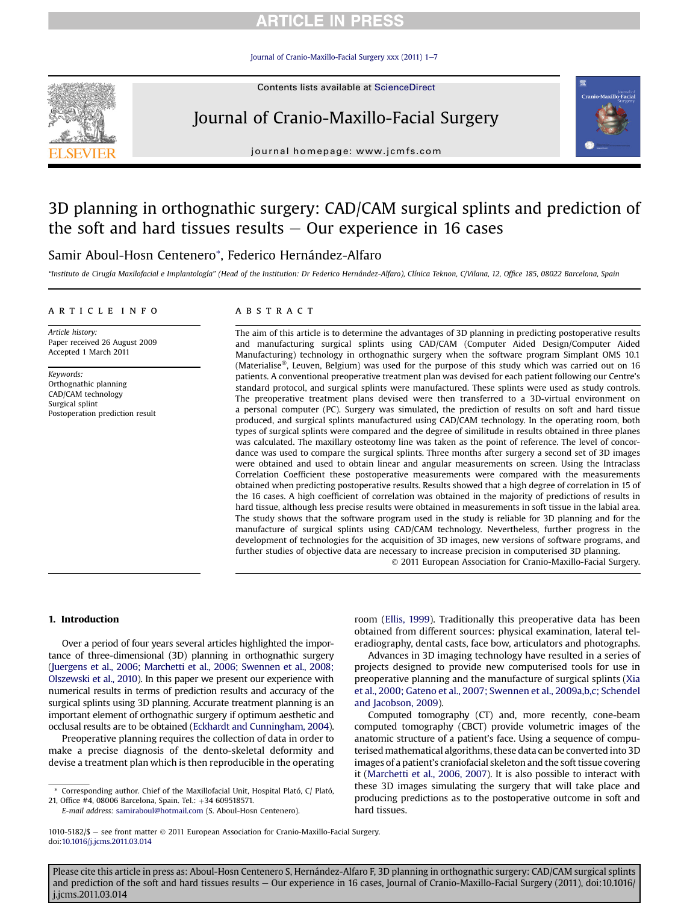## **ARTICLE IN PRESS**

[Journal of Cranio-Maxillo-Facial Surgery xxx \(2011\) 1](http://dx.doi.org/10.1016/j.jcms.2011.03.014)-[7](http://dx.doi.org/10.1016/j.jcms.2011.03.014)



# Journal of Cranio-Maxillo-Facial Surgery



journal homepage: [www.jcmfs.com](http://www.jcmfs.com)

# 3D planning in orthognathic surgery: CAD/CAM surgical splints and prediction of the soft and hard tissues results  $-$  Our experience in 16 cases

### Samir Aboul-Hosn Centenero\*, Federico Hernández-Alfaro

"Instituto de Cirugía Maxilofacial e Implantología" (Head of the Institution: Dr Federico Hernández-Alfaro), Clínica Teknon, C/Vilana, 12, Office 185, 08022 Barcelona, Spain

### article info

Article history: Paper received 26 August 2009 Accepted 1 March 2011

Keywords: Orthognathic planning CAD/CAM technology Surgical splint Postoperation prediction result

### **ABSTRACT**

The aim of this article is to determine the advantages of 3D planning in predicting postoperative results and manufacturing surgical splints using CAD/CAM (Computer Aided Design/Computer Aided Manufacturing) technology in orthognathic surgery when the software program Simplant OMS 10.1 (Materialise®, Leuven, Belgium) was used for the purpose of this study which was carried out on 16 patients. A conventional preoperative treatment plan was devised for each patient following our Centre's standard protocol, and surgical splints were manufactured. These splints were used as study controls. The preoperative treatment plans devised were then transferred to a 3D-virtual environment on a personal computer (PC). Surgery was simulated, the prediction of results on soft and hard tissue produced, and surgical splints manufactured using CAD/CAM technology. In the operating room, both types of surgical splints were compared and the degree of similitude in results obtained in three planes was calculated. The maxillary osteotomy line was taken as the point of reference. The level of concordance was used to compare the surgical splints. Three months after surgery a second set of 3D images were obtained and used to obtain linear and angular measurements on screen. Using the Intraclass Correlation Coefficient these postoperative measurements were compared with the measurements obtained when predicting postoperative results. Results showed that a high degree of correlation in 15 of the 16 cases. A high coefficient of correlation was obtained in the majority of predictions of results in hard tissue, although less precise results were obtained in measurements in soft tissue in the labial area. The study shows that the software program used in the study is reliable for 3D planning and for the manufacture of surgical splints using CAD/CAM technology. Nevertheless, further progress in the development of technologies for the acquisition of 3D images, new versions of software programs, and further studies of objective data are necessary to increase precision in computerised 3D planning. 2011 European Association for Cranio-Maxillo-Facial Surgery.

### 1. Introduction

Over a period of four years several articles highlighted the importance of three-dimensional (3D) planning in orthognathic surgery [\(Juergens et al., 2006; Marchetti et al., 2006; Swennen et al., 2008;](#page-6-0) [Olszewski et al., 2010\)](#page-6-0). In this paper we present our experience with numerical results in terms of prediction results and accuracy of the surgical splints using 3D planning. Accurate treatment planning is an important element of orthognathic surgery if optimum aesthetic and occlusal results are to be obtained ([Eckhardt and Cunningham, 2004\)](#page-6-0).

Preoperative planning requires the collection of data in order to make a precise diagnosis of the dento-skeletal deformity and devise a treatment plan which is then reproducible in the operating

Advances in 3D imaging technology have resulted in a series of projects designed to provide new computerised tools for use in preoperative planning and the manufacture of surgical splints [\(Xia](#page-6-0) [et al., 2000; Gateno et al., 2007; Swennen et al., 2009a,b,c; Schendel](#page-6-0)

[and Jacobson, 2009](#page-6-0)). Computed tomography (CT) and, more recently, cone-beam computed tomography (CBCT) provide volumetric images of the anatomic structure of a patient's face. Using a sequence of computerised mathematical algorithms, these data can be converted into 3D images of a patient's craniofacial skeleton and the soft tissue covering it ([Marchetti et al., 2006, 2007\)](#page-6-0). It is also possible to interact with these 3D images simulating the surgery that will take place and producing predictions as to the postoperative outcome in soft and hard tissues.

room ([Ellis, 1999\)](#page-6-0). Traditionally this preoperative data has been obtained from different sources: physical examination, lateral teleradiography, dental casts, face bow, articulators and photographs.

Corresponding author. Chief of the Maxillofacial Unit, Hospital Plató, C/ Plató, 21, Office #4, 08006 Barcelona, Spain. Tel.: +34 609518571.

E-mail address: [samiraboul@hotmail.com](mailto:samiraboul@hotmail.com) (S. Aboul-Hosn Centenero).

<sup>1010-5182/\$ -</sup> see front matter © 2011 European Association for Cranio-Maxillo-Facial Surgery. doi[:10.1016/j.jcms.2011.03.014](http://dx.doi.org/10.1016/j.jcms.2011.03.014)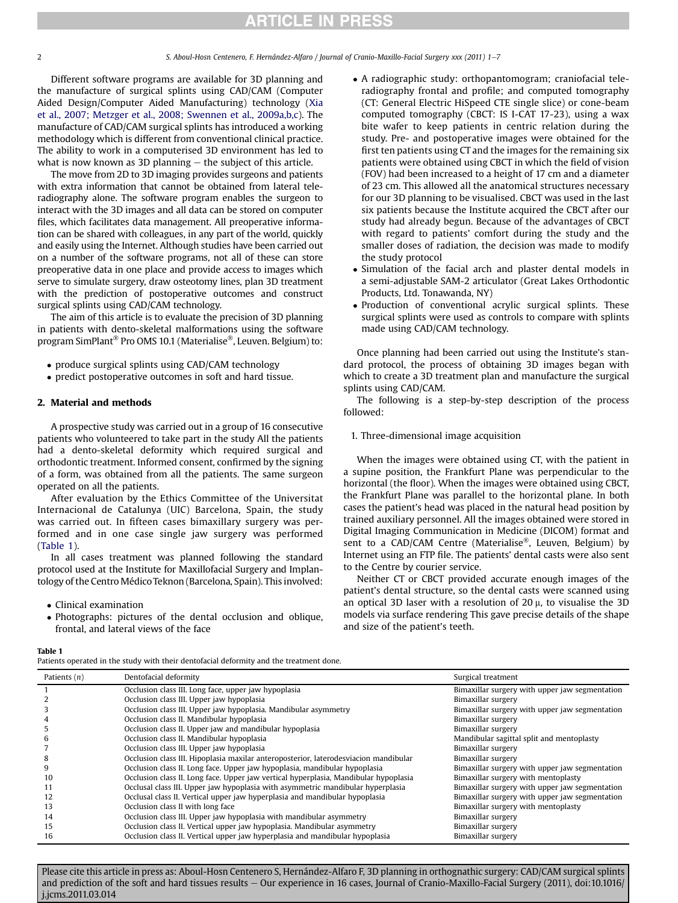# **RTICLE IN PRESS**

Different software programs are available for 3D planning and the manufacture of surgical splints using CAD/CAM (Computer Aided Design/Computer Aided Manufacturing) technology ([Xia](#page-6-0) [et al., 2007; Metzger et al., 2008; Swennen et al., 2009a,b,c](#page-6-0)). The manufacture of CAD/CAM surgical splints has introduced a working methodology which is different from conventional clinical practice. The ability to work in a computerised 3D environment has led to what is now known as 3D planning  $-$  the subject of this article.

The move from 2D to 3D imaging provides surgeons and patients with extra information that cannot be obtained from lateral teleradiography alone. The software program enables the surgeon to interact with the 3D images and all data can be stored on computer files, which facilitates data management. All preoperative information can be shared with colleagues, in any part of the world, quickly and easily using the Internet. Although studies have been carried out on a number of the software programs, not all of these can store preoperative data in one place and provide access to images which serve to simulate surgery, draw osteotomy lines, plan 3D treatment with the prediction of postoperative outcomes and construct surgical splints using CAD/CAM technology.

The aim of this article is to evaluate the precision of 3D planning in patients with dento-skeletal malformations using the software program SimPlant® Pro OMS 10.1 (Materialise®, Leuven. Belgium) to:

- produce surgical splints using CAD/CAM technology
- predict postoperative outcomes in soft and hard tissue.

### 2. Material and methods

A prospective study was carried out in a group of 16 consecutive patients who volunteered to take part in the study All the patients had a dento-skeletal deformity which required surgical and orthodontic treatment. Informed consent, confirmed by the signing of a form, was obtained from all the patients. The same surgeon operated on all the patients.

After evaluation by the Ethics Committee of the Universitat Internacional de Catalunya (UIC) Barcelona, Spain, the study was carried out. In fifteen cases bimaxillary surgery was performed and in one case single jaw surgery was performed (Table 1).

In all cases treatment was planned following the standard protocol used at the Institute for Maxillofacial Surgery and Implantology of the Centro Médico Teknon (Barcelona, Spain). This involved:

- Clinical examination
- Photographs: pictures of the dental occlusion and oblique, frontal, and lateral views of the face

- A radiographic study: orthopantomogram; craniofacial teleradiography frontal and profile; and computed tomography (CT: General Electric HiSpeed CTE single slice) or cone-beam computed tomography (CBCT: IS I-CAT 17-23), using a wax bite wafer to keep patients in centric relation during the study. Pre- and postoperative images were obtained for the first ten patients using CT and the images for the remaining six patients were obtained using CBCT in which the field of vision (FOV) had been increased to a height of 17 cm and a diameter of 23 cm. This allowed all the anatomical structures necessary for our 3D planning to be visualised. CBCT was used in the last six patients because the Institute acquired the CBCT after our study had already begun. Because of the advantages of CBCT with regard to patients' comfort during the study and the smaller doses of radiation, the decision was made to modify the study protocol

- Simulation of the facial arch and plaster dental models in a semi-adjustable SAM-2 articulator (Great Lakes Orthodontic Products, Ltd. Tonawanda, NY)
- Production of conventional acrylic surgical splints. These surgical splints were used as controls to compare with splints made using CAD/CAM technology.

Once planning had been carried out using the Institute's standard protocol, the process of obtaining 3D images began with which to create a 3D treatment plan and manufacture the surgical splints using CAD/CAM.

The following is a step-by-step description of the process followed:

### 1. Three-dimensional image acquisition

When the images were obtained using CT, with the patient in a supine position, the Frankfurt Plane was perpendicular to the horizontal (the floor). When the images were obtained using CBCT, the Frankfurt Plane was parallel to the horizontal plane. In both cases the patient's head was placed in the natural head position by trained auxiliary personnel. All the images obtained were stored in Digital Imaging Communication in Medicine (DICOM) format and sent to a CAD/CAM Centre (Materialise®, Leuven, Belgium) by Internet using an FTP file. The patients' dental casts were also sent to the Centre by courier service.

Neither CT or CBCT provided accurate enough images of the patient's dental structure, so the dental casts were scanned using an optical 3D laser with a resolution of 20  $\mu$ , to visualise the 3D models via surface rendering This gave precise details of the shape and size of the patient's teeth.

Table 1

Patients operated in the study with their dentofacial deformity and the treatment done.

| Patients $(n)$ | Dentofacial deformity                                                                | Surgical treatment                             |  |  |
|----------------|--------------------------------------------------------------------------------------|------------------------------------------------|--|--|
|                | Occlusion class III. Long face, upper jaw hypoplasia                                 | Bimaxillar surgery with upper jaw segmentation |  |  |
|                | Occlusion class III. Upper jaw hypoplasia                                            | Bimaxillar surgery                             |  |  |
|                | Occlusion class III. Upper jaw hypoplasia. Mandibular asymmetry                      | Bimaxillar surgery with upper jaw segmentation |  |  |
|                | Occlusion class II. Mandibular hypoplasia                                            | Bimaxillar surgery                             |  |  |
|                | Occlusion class II. Upper jaw and mandibular hypoplasia                              | Bimaxillar surgery                             |  |  |
|                | Occlusion class II. Mandibular hypoplasia                                            | Mandibular sagittal split and mentoplasty      |  |  |
|                | Occlusion class III. Upper jaw hypoplasia                                            | Bimaxillar surgery                             |  |  |
| 8              | Occlusion class III. Hipoplasia maxilar anteroposterior, laterodesviacion mandibular | Bimaxillar surgery                             |  |  |
| 9              | Occlusion class II. Long face. Upper jaw hypoplasia, mandibular hypoplasia           | Bimaxillar surgery with upper jaw segmentation |  |  |
| 10             | Occlusion class II. Long face. Upper jaw vertical hyperplasia, Mandibular hypoplasia | Bimaxillar surgery with mentoplasty            |  |  |
| 11             | Occlusal class III. Upper jaw hypoplasia with asymmetric mandibular hyperplasia      | Bimaxillar surgery with upper jaw segmentation |  |  |
| 12             | Occlusal class II. Vertical upper jaw hyperplasia and mandibular hypoplasia          | Bimaxillar surgery with upper jaw segmentation |  |  |
| 13             | Occlusion class II with long face                                                    | Bimaxillar surgery with mentoplasty            |  |  |
| 14             | Occlusion class III. Upper jaw hypoplasia with mandibular asymmetry                  | Bimaxillar surgery                             |  |  |
| 15             | Occlusion class II. Vertical upper jaw hypoplasia. Mandibular asymmetry              | Bimaxillar surgery                             |  |  |
| 16             | Occlusion class II. Vertical upper jaw hyperplasia and mandibular hypoplasia         | Bimaxillar surgery                             |  |  |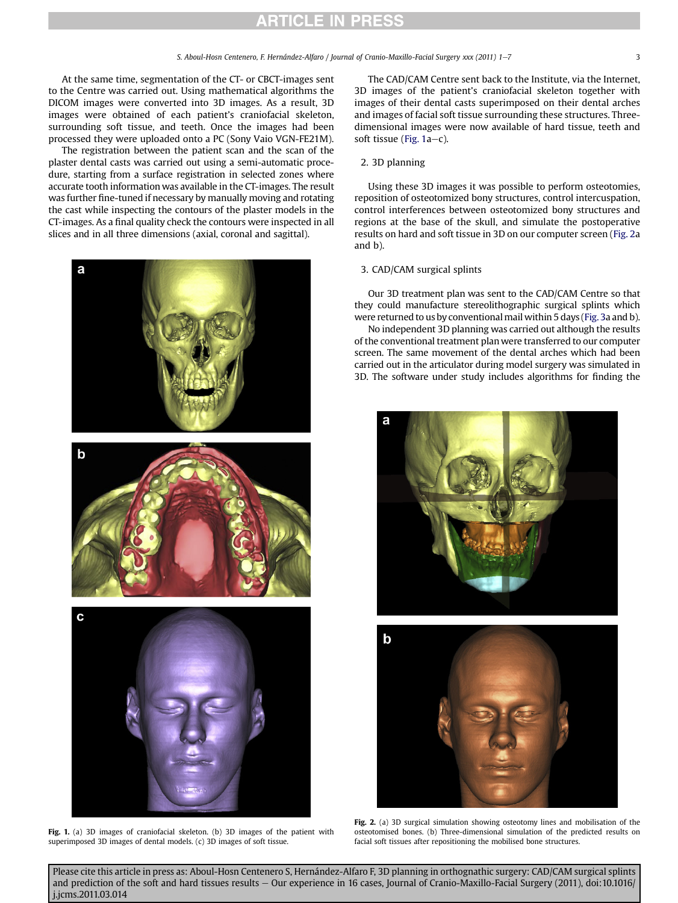At the same time, segmentation of the CT- or CBCT-images sent to the Centre was carried out. Using mathematical algorithms the DICOM images were converted into 3D images. As a result, 3D images were obtained of each patient's craniofacial skeleton, surrounding soft tissue, and teeth. Once the images had been processed they were uploaded onto a PC (Sony Vaio VGN-FE21M).

The registration between the patient scan and the scan of the plaster dental casts was carried out using a semi-automatic procedure, starting from a surface registration in selected zones where accurate tooth information was available in the CT-images. The result was further fine-tuned if necessary by manually moving and rotating the cast while inspecting the contours of the plaster models in the CT-images. As a final quality check the contours were inspected in all slices and in all three dimensions (axial, coronal and sagittal).



Fig. 1. (a) 3D images of craniofacial skeleton. (b) 3D images of the patient with superimposed 3D images of dental models. (c) 3D images of soft tissue.

The CAD/CAM Centre sent back to the Institute, via the Internet, 3D images of the patient's craniofacial skeleton together with images of their dental casts superimposed on their dental arches and images of facial soft tissue surrounding these structures. Threedimensional images were now available of hard tissue, teeth and soft tissue (Fig. 1a-c).

### 2. 3D planning

Using these 3D images it was possible to perform osteotomies, reposition of osteotomized bony structures, control intercuspation, control interferences between osteotomized bony structures and regions at the base of the skull, and simulate the postoperative results on hard and soft tissue in 3D on our computer screen (Fig. 2a and b).

### 3. CAD/CAM surgical splints

Our 3D treatment plan was sent to the CAD/CAM Centre so that they could manufacture stereolithographic surgical splints which were returned to us by conventional mail within 5 days ([Fig. 3](#page-3-0)a and b).

No independent 3D planning was carried out although the results of the conventional treatment plan were transferred to our computer screen. The same movement of the dental arches which had been carried out in the articulator during model surgery was simulated in 3D. The software under study includes algorithms for finding the





Fig. 2. (a) 3D surgical simulation showing osteotomy lines and mobilisation of the osteotomised bones. (b) Three-dimensional simulation of the predicted results on facial soft tissues after repositioning the mobilised bone structures.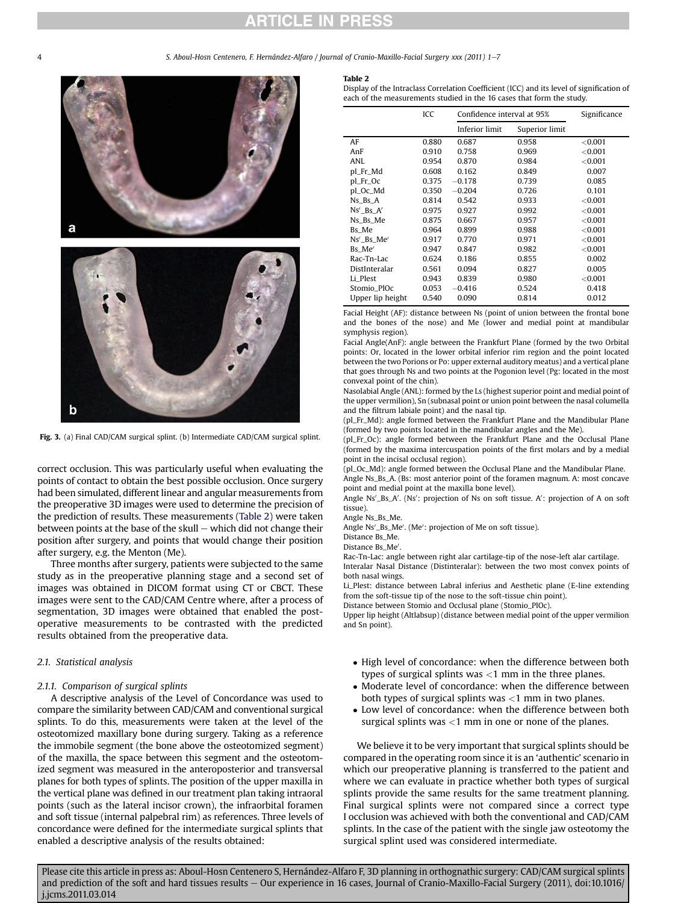### **RTICLE IN PRESS**

5. Aboul-Hosn Centenero, F. Hernández-Alfaro / Journal of Cranio-Maxillo-Facial Surgery xxx (2011) 1-7

<span id="page-3-0"></span>

Fig. 3. (a) Final CAD/CAM surgical splint. (b) Intermediate CAD/CAM surgical splint.

correct occlusion. This was particularly useful when evaluating the points of contact to obtain the best possible occlusion. Once surgery had been simulated, different linear and angular measurements from the preoperative 3D images were used to determine the precision of the prediction of results. These measurements (Table 2) were taken between points at the base of the skull  $-$  which did not change their position after surgery, and points that would change their position after surgery, e.g. the Menton (Me).

Three months after surgery, patients were subjected to the same study as in the preoperative planning stage and a second set of images was obtained in DICOM format using CT or CBCT. These images were sent to the CAD/CAM Centre where, after a process of segmentation, 3D images were obtained that enabled the postoperative measurements to be contrasted with the predicted results obtained from the preoperative data.

### 2.1. Statistical analysis

### 2.1.1. Comparison of surgical splints

A descriptive analysis of the Level of Concordance was used to compare the similarity between CAD/CAM and conventional surgical splints. To do this, measurements were taken at the level of the osteotomized maxillary bone during surgery. Taking as a reference the immobile segment (the bone above the osteotomized segment) of the maxilla, the space between this segment and the osteotomized segment was measured in the anteroposterior and transversal planes for both types of splints. The position of the upper maxilla in the vertical plane was defined in our treatment plan taking intraoral points (such as the lateral incisor crown), the infraorbital foramen and soft tissue (internal palpebral rim) as references. Three levels of concordance were defined for the intermediate surgical splints that enabled a descriptive analysis of the results obtained:

#### Table 2

Display of the Intraclass Correlation Coefficient (ICC) and its level of signification of each of the measurements studied in the 16 cases that form the study.

|                  | ICC   | Confidence interval at 95% |                | Significance |
|------------------|-------|----------------------------|----------------|--------------|
|                  |       | Inferior limit             | Superior limit |              |
| AF               | 0.880 | 0.687                      | 0.958          | ${<}0.001$   |
| AnF              | 0.910 | 0.758                      | 0.969          | $<$ 0.001    |
| ANI.             | 0.954 | 0.870                      | 0.984          | $<$ 0.001    |
| pl_Fr_Md         | 0.608 | 0.162                      | 0.849          | 0.007        |
| pl_Fr_Oc         | 0.375 | $-0.178$                   | 0.739          | 0.085        |
| pl_Oc_Md         | 0.350 | $-0.204$                   | 0.726          | 0.101        |
| $Ns_Bs_A$        | 0.814 | 0.542                      | 0.933          | ${<}0.001$   |
| $Ns'$ Bs $A'$    | 0.975 | 0.927                      | 0.992          | <0.001       |
| Ns_Bs_Me         | 0.875 | 0.667                      | 0.957          | ${<}0.001$   |
| Bs Me            | 0.964 | 0.899                      | 0.988          | ${<}0.001$   |
| Ns' Bs Me'       | 0.917 | 0.770                      | 0.971          | ${<}0.001$   |
| Bs Me'           | 0.947 | 0.847                      | 0.982          | ${<}0.001$   |
| Rac-Tn-Lac       | 0.624 | 0.186                      | 0.855          | 0.002        |
| DistInteralar    | 0.561 | 0.094                      | 0.827          | 0.005        |
| Li Plest         | 0.943 | 0.839                      | 0.980          | ${<}0.001$   |
| Stomio PlOc      | 0.053 | $-0.416$                   | 0.524          | 0.418        |
| Upper lip height | 0.540 | 0.090                      | 0.814          | 0.012        |

Facial Height (AF): distance between Ns (point of union between the frontal bone and the bones of the nose) and Me (lower and medial point at mandibular symphysis region).

Facial Angle(AnF): angle between the Frankfurt Plane (formed by the two Orbital points: Or, located in the lower orbital inferior rim region and the point located between the two Porions or Po: upper external auditory meatus) and a vertical plane that goes through Ns and two points at the Pogonion level (Pg: located in the most convexal point of the chin).

Nasolabial Angle (ANL): formed by the Ls (highest superior point and medial point of the upper vermilion), Sn (subnasal point or union point between the nasal columella and the filtrum labiale point) and the nasal tip.

(pl\_Fr\_Md): angle formed between the Frankfurt Plane and the Mandibular Plane (formed by two points located in the mandibular angles and the Me).

(pl\_Fr\_Oc): angle formed between the Frankfurt Plane and the Occlusal Plane (formed by the maxima intercuspation points of the first molars and by a medial point in the incisal occlusal region).

(pl\_Oc\_Md): angle formed between the Occlusal Plane and the Mandibular Plane. Angle Ns\_Bs\_A. (Bs: most anterior point of the foramen magnum. A: most concave point and medial point at the maxilla bone level).

Angle Ns'\_Bs\_A'. (Ns': projection of Ns on soft tissue. A': projection of A on soft tissue).

Angle Ns\_Bs\_Me.

Angle Ns'\_Bs\_Me'. (Me': projection of Me on soft tissue).

Distance Bs\_Me.

Distance Bs Me' .

Rac-Tn-Lac: angle between right alar cartilage-tip of the nose-left alar cartilage. Interalar Nasal Distance (Distinteralar): between the two most convex points of

both nasal wings.

Li\_Plest: distance between Labral inferius and Aesthetic plane (E-line extending from the soft-tissue tip of the nose to the soft-tissue chin point).

Distance between Stomio and Occlusal plane (Stomio\_PlOc).

Upper lip height (Altlabsup) (distance between medial point of the upper vermilion and Sn point).

- High level of concordance: when the difference between both types of surgical splints was  $<$ 1 mm in the three planes.
- Moderate level of concordance: when the difference between both types of surgical splints was <1 mm in two planes.
- Low level of concordance: when the difference between both surgical splints was  $<$ 1 mm in one or none of the planes.

We believe it to be very important that surgical splints should be compared in the operating room since it is an 'authentic' scenario in which our preoperative planning is transferred to the patient and where we can evaluate in practice whether both types of surgical splints provide the same results for the same treatment planning. Final surgical splints were not compared since a correct type I occlusion was achieved with both the conventional and CAD/CAM splints. In the case of the patient with the single jaw osteotomy the surgical splint used was considered intermediate.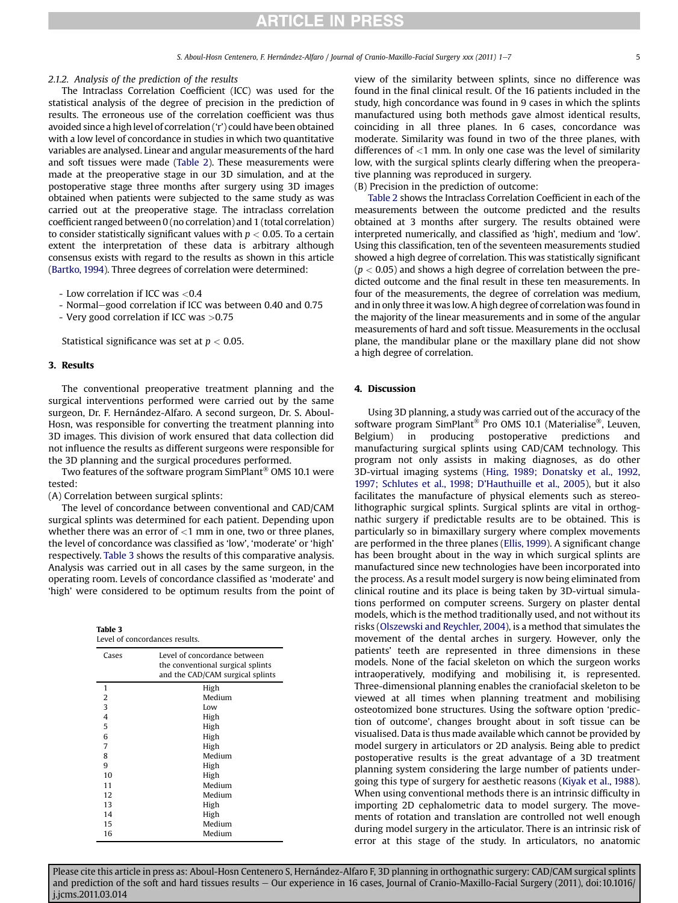### 2.1.2. Analysis of the prediction of the results

The Intraclass Correlation Coefficient (ICC) was used for the statistical analysis of the degree of precision in the prediction of results. The erroneous use of the correlation coefficient was thus avoided since a high level of correlation ('r') could have been obtained with a low level of concordance in studies in which two quantitative variables are analysed. Linear and angular measurements of the hard and soft tissues were made [\(Table 2](#page-3-0)). These measurements were made at the preoperative stage in our 3D simulation, and at the postoperative stage three months after surgery using 3D images obtained when patients were subjected to the same study as was carried out at the preoperative stage. The intraclass correlation coefficient ranged between 0 (no correlation) and 1 (total correlation) to consider statistically significant values with  $p < 0.05$ . To a certain extent the interpretation of these data is arbitrary although consensus exists with regard to the results as shown in this article [\(Bartko, 1994](#page-6-0)). Three degrees of correlation were determined:

- Low correlation if ICC was <0.4

- Normal-good correlation if ICC was between 0.40 and 0.75
- Very good correlation if ICC was >0.75

Statistical significance was set at  $p < 0.05$ .

### 3. Results

The conventional preoperative treatment planning and the surgical interventions performed were carried out by the same surgeon, Dr. F. Hernández-Alfaro. A second surgeon, Dr. S. Aboul-Hosn, was responsible for converting the treatment planning into 3D images. This division of work ensured that data collection did not influence the results as different surgeons were responsible for the 3D planning and the surgical procedures performed.

Two features of the software program  $SimPlant^{\otimes}$  OMS 10.1 were tested:

(A) Correlation between surgical splints:

The level of concordance between conventional and CAD/CAM surgical splints was determined for each patient. Depending upon whether there was an error of  $<$ 1 mm in one, two or three planes, the level of concordance was classified as 'low', 'moderate' or 'high' respectively. Table 3 shows the results of this comparative analysis. Analysis was carried out in all cases by the same surgeon, in the operating room. Levels of concordance classified as 'moderate' and 'high' were considered to be optimum results from the point of

| Table 3<br>Level of concordances results. |                                                                                                       |  |  |
|-------------------------------------------|-------------------------------------------------------------------------------------------------------|--|--|
| Cases                                     | Level of concordance between<br>the conventional surgical splints<br>and the CAD/CAM surgical splints |  |  |
| 1                                         | High                                                                                                  |  |  |
| 2                                         | Medium                                                                                                |  |  |
| 3                                         | Low                                                                                                   |  |  |
| 4                                         | High                                                                                                  |  |  |
| 5                                         | High                                                                                                  |  |  |
| 6                                         | High                                                                                                  |  |  |
| 7                                         | High                                                                                                  |  |  |
| 8                                         | Medium                                                                                                |  |  |
| q                                         | High                                                                                                  |  |  |
| 10                                        | High                                                                                                  |  |  |
| 11                                        | Medium                                                                                                |  |  |
| 12                                        | Medium                                                                                                |  |  |
| 13                                        | High                                                                                                  |  |  |
| 14                                        | High                                                                                                  |  |  |
| 15                                        | Medium                                                                                                |  |  |
| 16                                        | Medium                                                                                                |  |  |

view of the similarity between splints, since no difference was found in the final clinical result. Of the 16 patients included in the study, high concordance was found in 9 cases in which the splints manufactured using both methods gave almost identical results, coinciding in all three planes. In 6 cases, concordance was moderate. Similarity was found in two of the three planes, with differences of <1 mm. In only one case was the level of similarity low, with the surgical splints clearly differing when the preoperative planning was reproduced in surgery.

(B) Precision in the prediction of outcome:

[Table 2](#page-3-0) shows the Intraclass Correlation Coefficient in each of the measurements between the outcome predicted and the results obtained at 3 months after surgery. The results obtained were interpreted numerically, and classified as 'high', medium and 'low'. Using this classification, ten of the seventeen measurements studied showed a high degree of correlation. This was statistically significant  $(p < 0.05)$  and shows a high degree of correlation between the predicted outcome and the final result in these ten measurements. In four of the measurements, the degree of correlation was medium, and in only three it was low. A high degree of correlation was found in the majority of the linear measurements and in some of the angular measurements of hard and soft tissue. Measurements in the occlusal plane, the mandibular plane or the maxillary plane did not show a high degree of correlation.

### 4. Discussion

Using 3D planning, a study was carried out of the accuracy of the software program SimPlant<sup>®</sup> Pro OMS 10.1 (Materialise<sup>®</sup>, Leuven, Belgium) in producing postoperative predictions and manufacturing surgical splints using CAD/CAM technology. This program not only assists in making diagnoses, as do other 3D-virtual imaging systems [\(Hing, 1989; Donatsky et al., 1992,](#page-6-0) [1997; Schlutes et al., 1998; D](#page-6-0)'Hauthuille et al., 2005), but it also facilitates the manufacture of physical elements such as stereolithographic surgical splints. Surgical splints are vital in orthognathic surgery if predictable results are to be obtained. This is particularly so in bimaxillary surgery where complex movements are performed in the three planes ([Ellis, 1999](#page-6-0)). A significant change has been brought about in the way in which surgical splints are manufactured since new technologies have been incorporated into the process. As a result model surgery is now being eliminated from clinical routine and its place is being taken by 3D-virtual simulations performed on computer screens. Surgery on plaster dental models, which is the method traditionally used, and not without its risks ([Olszewski and Reychler, 2004](#page-6-0)), is a method that simulates the movement of the dental arches in surgery. However, only the patients' teeth are represented in three dimensions in these models. None of the facial skeleton on which the surgeon works intraoperatively, modifying and mobilising it, is represented. Three-dimensional planning enables the craniofacial skeleton to be viewed at all times when planning treatment and mobilising osteotomized bone structures. Using the software option 'prediction of outcome', changes brought about in soft tissue can be visualised. Data is thus made available which cannot be provided by model surgery in articulators or 2D analysis. Being able to predict postoperative results is the great advantage of a 3D treatment planning system considering the large number of patients undergoing this type of surgery for aesthetic reasons [\(Kiyak et al., 1988\)](#page-6-0). When using conventional methods there is an intrinsic difficulty in importing 2D cephalometric data to model surgery. The movements of rotation and translation are controlled not well enough during model surgery in the articulator. There is an intrinsic risk of error at this stage of the study. In articulators, no anatomic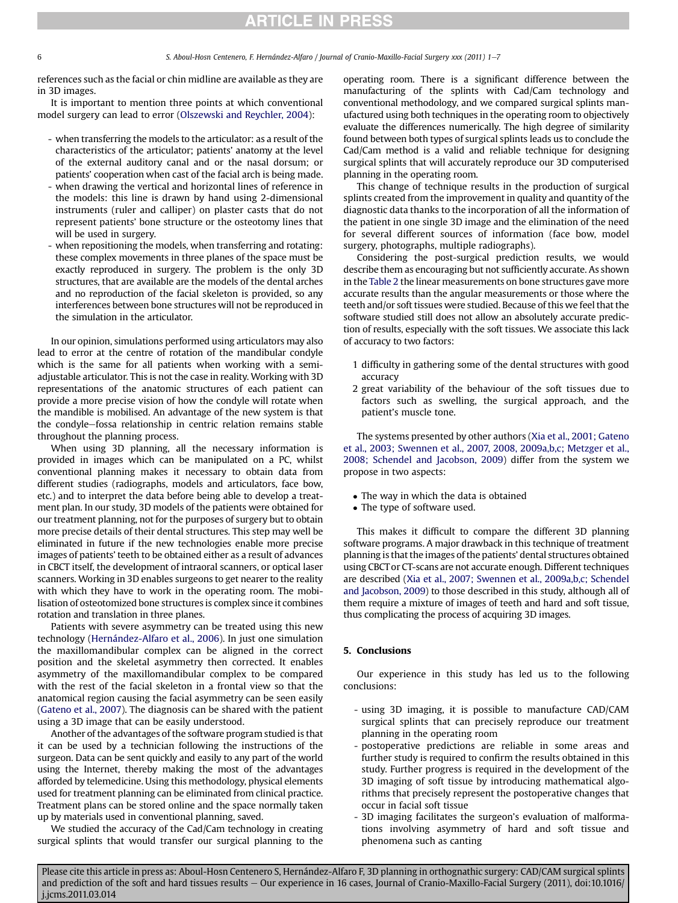# **ARTICLE IN PRESS**

references such as the facial or chin midline are available as they are in 3D images.

It is important to mention three points at which conventional model surgery can lead to error [\(Olszewski and Reychler, 2004\)](#page-6-0):

- when transferring the models to the articulator: as a result of the characteristics of the articulator; patients' anatomy at the level of the external auditory canal and or the nasal dorsum; or patients' cooperation when cast of the facial arch is being made.
- when drawing the vertical and horizontal lines of reference in the models: this line is drawn by hand using 2-dimensional instruments (ruler and calliper) on plaster casts that do not represent patients' bone structure or the osteotomy lines that will be used in surgery.
- when repositioning the models, when transferring and rotating: these complex movements in three planes of the space must be exactly reproduced in surgery. The problem is the only 3D structures, that are available are the models of the dental arches and no reproduction of the facial skeleton is provided, so any interferences between bone structures will not be reproduced in the simulation in the articulator.

In our opinion, simulations performed using articulators may also lead to error at the centre of rotation of the mandibular condyle which is the same for all patients when working with a semiadjustable articulator. This is not the case in reality. Working with 3D representations of the anatomic structures of each patient can provide a more precise vision of how the condyle will rotate when the mandible is mobilised. An advantage of the new system is that the condyle-fossa relationship in centric relation remains stable throughout the planning process.

When using 3D planning, all the necessary information is provided in images which can be manipulated on a PC, whilst conventional planning makes it necessary to obtain data from different studies (radiographs, models and articulators, face bow, etc.) and to interpret the data before being able to develop a treatment plan. In our study, 3D models of the patients were obtained for our treatment planning, not for the purposes of surgery but to obtain more precise details of their dental structures. This step may well be eliminated in future if the new technologies enable more precise images of patients' teeth to be obtained either as a result of advances in CBCT itself, the development of intraoral scanners, or optical laser scanners. Working in 3D enables surgeons to get nearer to the reality with which they have to work in the operating room. The mobilisation of osteotomized bone structures is complex since it combines rotation and translation in three planes.

Patients with severe asymmetry can be treated using this new technology [\(Hernández-Alfaro et al., 2006\)](#page-6-0). In just one simulation the maxillomandibular complex can be aligned in the correct position and the skeletal asymmetry then corrected. It enables asymmetry of the maxillomandibular complex to be compared with the rest of the facial skeleton in a frontal view so that the anatomical region causing the facial asymmetry can be seen easily ([Gateno et al., 2007\)](#page-6-0). The diagnosis can be shared with the patient using a 3D image that can be easily understood.

Another of the advantages of the software program studied is that it can be used by a technician following the instructions of the surgeon. Data can be sent quickly and easily to any part of the world using the Internet, thereby making the most of the advantages afforded by telemedicine. Using this methodology, physical elements used for treatment planning can be eliminated from clinical practice. Treatment plans can be stored online and the space normally taken up by materials used in conventional planning, saved.

We studied the accuracy of the Cad/Cam technology in creating surgical splints that would transfer our surgical planning to the operating room. There is a significant difference between the manufacturing of the splints with Cad/Cam technology and conventional methodology, and we compared surgical splints manufactured using both techniques in the operating room to objectively evaluate the differences numerically. The high degree of similarity found between both types of surgical splints leads us to conclude the Cad/Cam method is a valid and reliable technique for designing surgical splints that will accurately reproduce our 3D computerised planning in the operating room.

This change of technique results in the production of surgical splints created from the improvement in quality and quantity of the diagnostic data thanks to the incorporation of all the information of the patient in one single 3D image and the elimination of the need for several different sources of information (face bow, model surgery, photographs, multiple radiographs).

Considering the post-surgical prediction results, we would describe them as encouraging but not sufficiently accurate. As shown in the [Table 2](#page-3-0) the linear measurements on bone structures gave more accurate results than the angular measurements or those where the teeth and/or soft tissues were studied. Because of this we feel that the software studied still does not allow an absolutely accurate prediction of results, especially with the soft tissues. We associate this lack of accuracy to two factors:

- 1 difficulty in gathering some of the dental structures with good accuracy
- 2 great variability of the behaviour of the soft tissues due to factors such as swelling, the surgical approach, and the patient's muscle tone.

The systems presented by other authors [\(Xia et al., 2001; Gateno](#page-6-0) [et al., 2003; Swennen et al., 2007, 2008, 2009a,b,c; Metzger et al.,](#page-6-0) [2008; Schendel and Jacobson, 2009](#page-6-0)) differ from the system we propose in two aspects:

- The way in which the data is obtained
- The type of software used.

This makes it difficult to compare the different 3D planning software programs. A major drawback in this technique of treatment planning is that the images of the patients' dental structures obtained using CBCT or CT-scans are not accurate enough. Different techniques are described [\(Xia et al., 2007; Swennen et al., 2009a,b,c; Schendel](#page-6-0) [and Jacobson, 2009\)](#page-6-0) to those described in this study, although all of them require a mixture of images of teeth and hard and soft tissue, thus complicating the process of acquiring 3D images.

### 5. Conclusions

Our experience in this study has led us to the following conclusions:

- using 3D imaging, it is possible to manufacture CAD/CAM surgical splints that can precisely reproduce our treatment planning in the operating room
- postoperative predictions are reliable in some areas and further study is required to confirm the results obtained in this study. Further progress is required in the development of the 3D imaging of soft tissue by introducing mathematical algorithms that precisely represent the postoperative changes that occur in facial soft tissue
- 3D imaging facilitates the surgeon's evaluation of malformations involving asymmetry of hard and soft tissue and phenomena such as canting